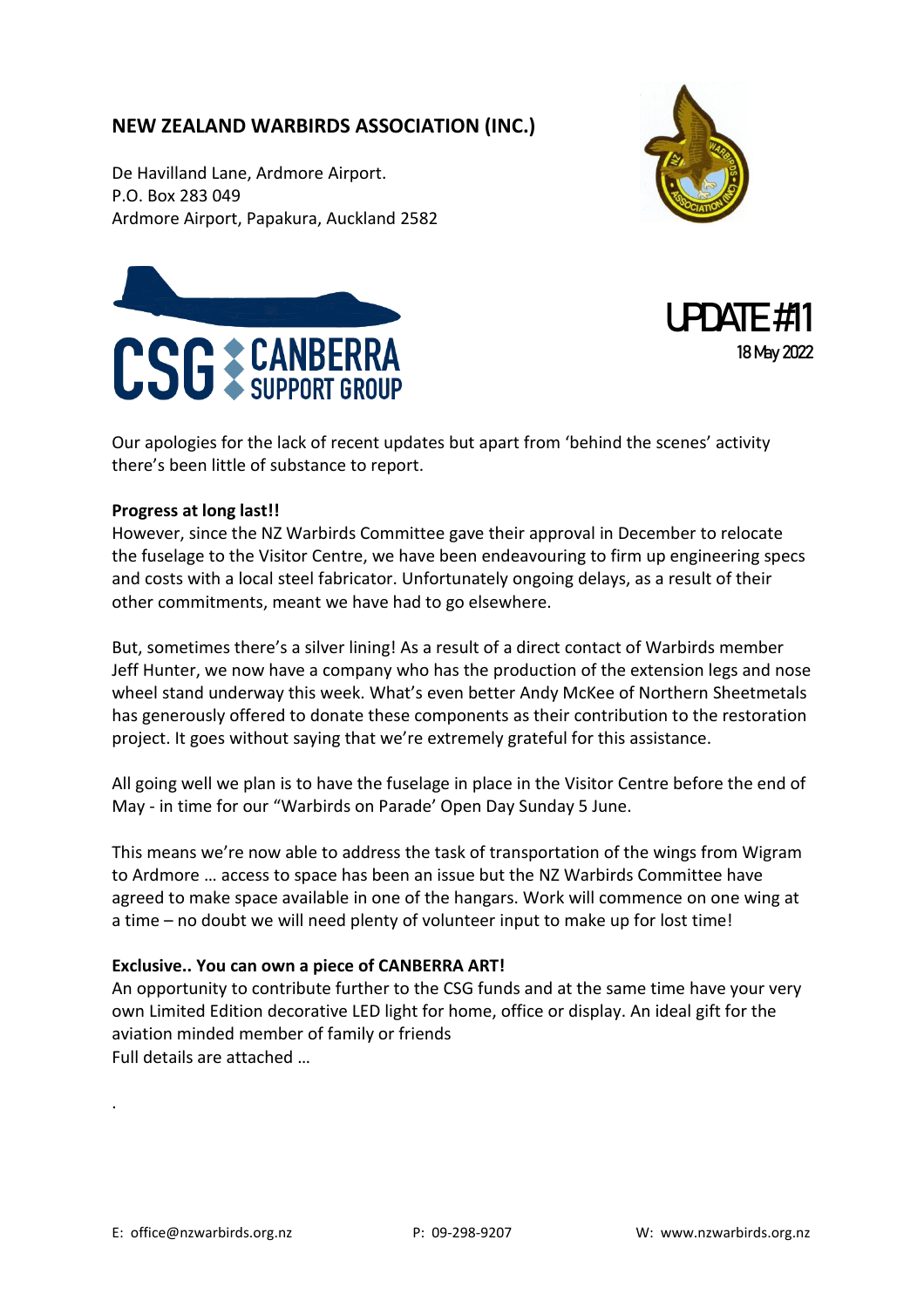## **NEW ZEALAND WARBIRDS ASSOCIATION (INC.)**

De Havilland Lane, Ardmore Airport. P.O. Box 283 049 Ardmore Airport, Papakura, Auckland 2582







Our apologies for the lack of recent updates but apart from 'behind the scenes' activity there's been little of substance to report.

## **Progress at long last!!**

However, since the NZ Warbirds Committee gave their approval in December to relocate the fuselage to the Visitor Centre, we have been endeavouring to firm up engineering specs and costs with a local steel fabricator. Unfortunately ongoing delays, as a result of their other commitments, meant we have had to go elsewhere.

But, sometimes there's a silver lining! As a result of a direct contact of Warbirds member Jeff Hunter, we now have a company who has the production of the extension legs and nose wheel stand underway this week. What's even better Andy McKee of Northern Sheetmetals has generously offered to donate these components as their contribution to the restoration project. It goes without saying that we're extremely grateful for this assistance.

All going well we plan is to have the fuselage in place in the Visitor Centre before the end of May - in time for our "Warbirds on Parade' Open Day Sunday 5 June.

This means we're now able to address the task of transportation of the wings from Wigram to Ardmore … access to space has been an issue but the NZ Warbirds Committee have agreed to make space available in one of the hangars. Work will commence on one wing at a time – no doubt we will need plenty of volunteer input to make up for lost time!

## **Exclusive.. You can own a piece of CANBERRA ART!**

An opportunity to contribute further to the CSG funds and at the same time have your very own Limited Edition decorative LED light for home, office or display. An ideal gift for the aviation minded member of family or friends Full details are attached …

.